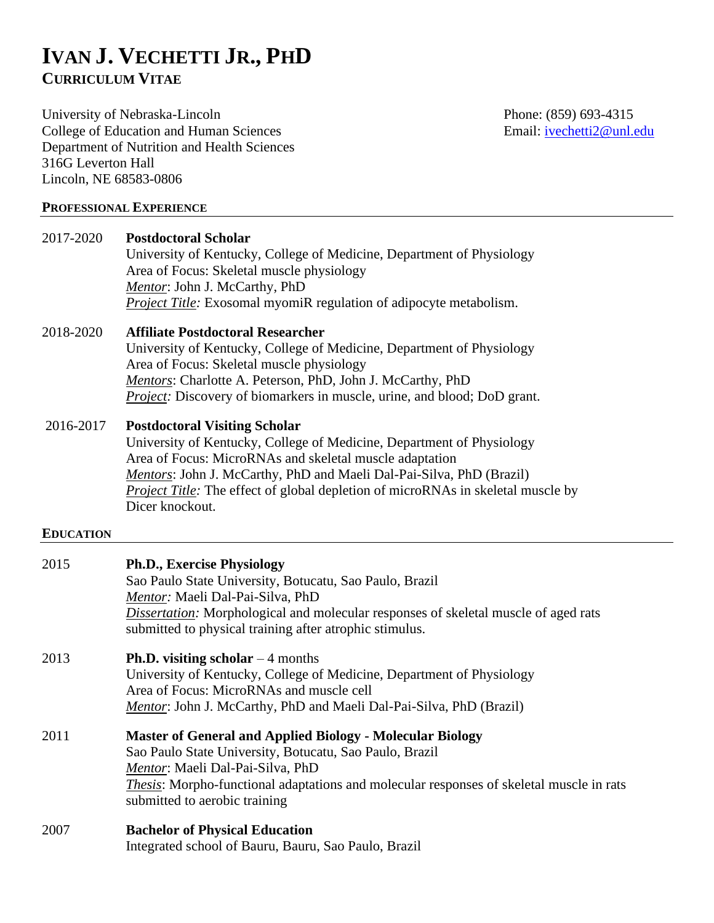# **IVAN J. VECHETTI JR., PHD CURRICULUM VITAE**

University of Nebraska-Lincoln<br>
College of Education and Human Sciences<br>
Email: <u>ivechetti2@unl.edu</u><br>
Phone: (859) 693-4315 College of Education and Human Sciences Department of Nutrition and Health Sciences 316G Leverton Hall Lincoln, NE 68583-0806

#### **PROFESSIONAL EXPERIENCE**

| 2017-2020        | <b>Postdoctoral Scholar</b><br>University of Kentucky, College of Medicine, Department of Physiology<br>Area of Focus: Skeletal muscle physiology<br>Mentor: John J. McCarthy, PhD<br><b>Project Title:</b> Exosomal myomiR regulation of adipocyte metabolism.                                                                                                |
|------------------|----------------------------------------------------------------------------------------------------------------------------------------------------------------------------------------------------------------------------------------------------------------------------------------------------------------------------------------------------------------|
| 2018-2020        | <b>Affiliate Postdoctoral Researcher</b><br>University of Kentucky, College of Medicine, Department of Physiology<br>Area of Focus: Skeletal muscle physiology<br>Mentors: Charlotte A. Peterson, PhD, John J. McCarthy, PhD<br>Project: Discovery of biomarkers in muscle, urine, and blood; DoD grant.                                                       |
| 2016-2017        | <b>Postdoctoral Visiting Scholar</b><br>University of Kentucky, College of Medicine, Department of Physiology<br>Area of Focus: MicroRNAs and skeletal muscle adaptation<br>Mentors: John J. McCarthy, PhD and Maeli Dal-Pai-Silva, PhD (Brazil)<br><b>Project Title:</b> The effect of global depletion of microRNAs in skeletal muscle by<br>Dicer knockout. |
| <b>EDUCATION</b> |                                                                                                                                                                                                                                                                                                                                                                |
| 2015             | <b>Ph.D., Exercise Physiology</b><br>Sao Paulo State University, Botucatu, Sao Paulo, Brazil<br>Mentor: Maeli Dal-Pai-Silva, PhD<br>Dissertation: Morphological and molecular responses of skeletal muscle of aged rats<br>submitted to physical training after atrophic stimulus.                                                                             |
| 2013             | <b>Ph.D.</b> visiting scholar $-4$ months<br>University of Kentucky, College of Medicine, Department of Physiology<br>Area of Focus: MicroRNAs and muscle cell<br>Mentor: John J. McCarthy, PhD and Maeli Dal-Pai-Silva, PhD (Brazil)                                                                                                                          |
| 2011             | <b>Master of General and Applied Biology - Molecular Biology</b><br>Sao Paulo State University, Botucatu, Sao Paulo, Brazil<br>Mentor: Maeli Dal-Pai-Silva, PhD<br><i>Thesis:</i> Morpho-functional adaptations and molecular responses of skeletal muscle in rats<br>submitted to aerobic training                                                            |
| 2007             | <b>Bachelor of Physical Education</b><br>Integrated school of Bauru, Bauru, Sao Paulo, Brazil                                                                                                                                                                                                                                                                  |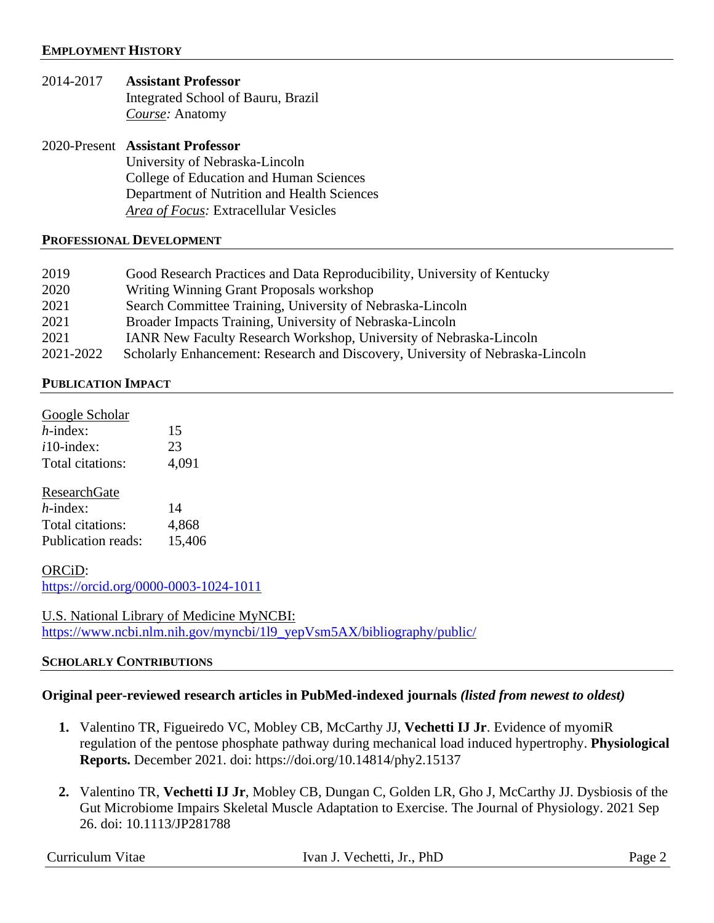- 2014-2017 **Assistant Professor** Integrated School of Bauru, Brazil *Course:* Anatomy
- 2020-Present **Assistant Professor** University of Nebraska-Lincoln College of Education and Human Sciences Department of Nutrition and Health Sciences *Area of Focus:* Extracellular Vesicles

#### **PROFESSIONAL DEVELOPMENT**

| 2019      | Good Research Practices and Data Reproducibility, University of Kentucky      |
|-----------|-------------------------------------------------------------------------------|
| 2020      | Writing Winning Grant Proposals workshop                                      |
| 2021      | Search Committee Training, University of Nebraska-Lincoln                     |
| 2021      | Broader Impacts Training, University of Nebraska-Lincoln                      |
| 2021      | IANR New Faculty Research Workshop, University of Nebraska-Lincoln            |
| 2021-2022 | Scholarly Enhancement: Research and Discovery, University of Nebraska-Lincoln |

#### **PUBLICATION IMPACT**

| Google Scholar            |        |
|---------------------------|--------|
| $h$ -index:               | 15     |
| $i10$ -index:             | 23     |
| Total citations:          | 4,091  |
|                           |        |
| <b>ResearchGate</b>       |        |
| $h$ -index:               | 14     |
| Total citations:          | 4,868  |
| <b>Publication reads:</b> | 15,406 |

ORCiD: <https://orcid.org/0000-0003-1024-1011>

U.S. National Library of Medicine MyNCBI: [https://www.ncbi.nlm.nih.gov/myncbi/1l9\\_yepVsm5AX/bibliography/public/](https://www.ncbi.nlm.nih.gov/myncbi/1l9_yepVsm5AX/bibliography/public/)

#### **SCHOLARLY CONTRIBUTIONS**

#### **Original peer-reviewed research articles in PubMed-indexed journals** *(listed from newest to oldest)*

- **1.** Valentino TR, Figueiredo VC, Mobley CB, McCarthy JJ, **Vechetti IJ Jr**. Evidence of myomiR regulation of the pentose phosphate pathway during mechanical load induced hypertrophy. **Physiological Reports.** December 2021. doi: https://doi.org/10.14814/phy2.15137
- **2.** Valentino TR, **Vechetti IJ Jr**, Mobley CB, Dungan C, Golden LR, Gho J, McCarthy JJ. Dysbiosis of the Gut Microbiome Impairs Skeletal Muscle Adaptation to Exercise. The Journal of Physiology. 2021 Sep 26. doi: 10.1113/JP281788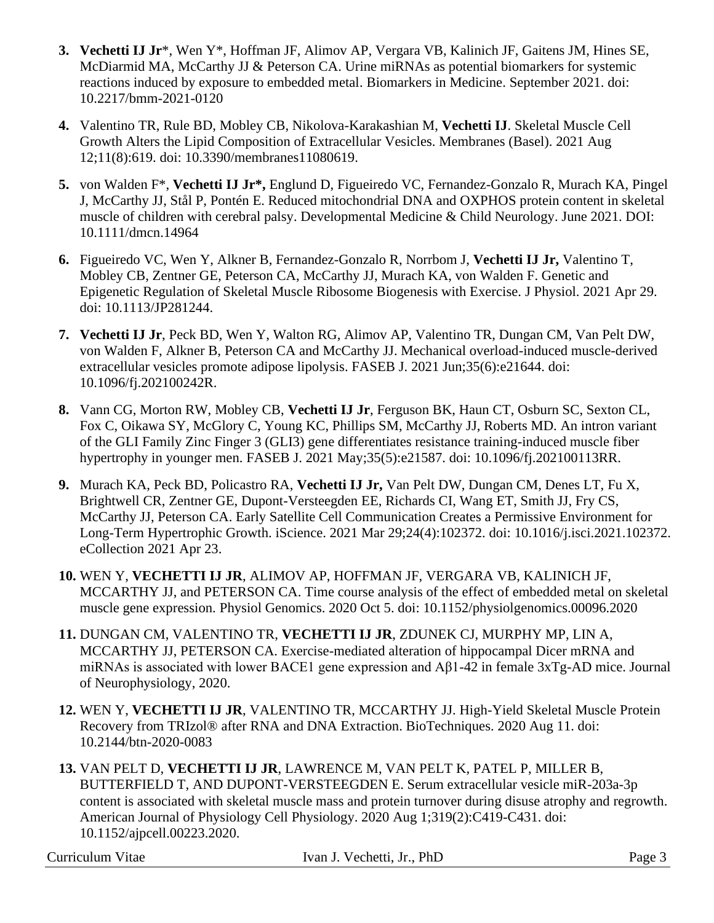- **3. Vechetti IJ Jr**\*, Wen Y\*, Hoffman JF, Alimov AP, Vergara VB, Kalinich JF, Gaitens JM, Hines SE, McDiarmid MA, McCarthy JJ & Peterson CA. Urine miRNAs as potential biomarkers for systemic reactions induced by exposure to embedded metal. Biomarkers in Medicine. September 2021. doi: 10.2217/bmm-2021-0120
- **4.** Valentino TR, Rule BD, Mobley CB, Nikolova-Karakashian M, **Vechetti IJ**. Skeletal Muscle Cell Growth Alters the Lipid Composition of Extracellular Vesicles. Membranes (Basel). 2021 Aug 12;11(8):619. doi: 10.3390/membranes11080619.
- **5.** von Walden F\*, **Vechetti IJ Jr\*,** Englund D, Figueiredo VC, Fernandez-Gonzalo R, Murach KA, Pingel J, McCarthy JJ, Stål P, Pontén E. Reduced mitochondrial DNA and OXPHOS protein content in skeletal muscle of children with cerebral palsy. Developmental Medicine & Child Neurology. June 2021. DOI: 10.1111/dmcn.14964
- **6.** Figueiredo VC, Wen Y, Alkner B, Fernandez-Gonzalo R, Norrbom J, **Vechetti IJ Jr,** Valentino T, Mobley CB, Zentner GE, Peterson CA, McCarthy JJ, Murach KA, von Walden F. Genetic and Epigenetic Regulation of Skeletal Muscle Ribosome Biogenesis with Exercise. J Physiol. 2021 Apr 29. doi: 10.1113/JP281244.
- **7. Vechetti IJ Jr**, Peck BD, Wen Y, Walton RG, Alimov AP, Valentino TR, Dungan CM, Van Pelt DW, von Walden F, Alkner B, Peterson CA and McCarthy JJ. Mechanical overload-induced muscle-derived extracellular vesicles promote adipose lipolysis. FASEB J. 2021 Jun;35(6):e21644. doi: 10.1096/fj.202100242R.
- **8.** Vann CG, Morton RW, Mobley CB, **Vechetti IJ Jr**, Ferguson BK, Haun CT, Osburn SC, Sexton CL, Fox C, Oikawa SY, McGlory C, Young KC, Phillips SM, McCarthy JJ, Roberts MD. An intron variant of the GLI Family Zinc Finger 3 (GLI3) gene differentiates resistance training-induced muscle fiber hypertrophy in younger men. FASEB J. 2021 May;35(5):e21587. doi: 10.1096/fj.202100113RR.
- **9.** Murach KA, Peck BD, Policastro RA, **Vechetti IJ Jr,** Van Pelt DW, Dungan CM, Denes LT, Fu X, Brightwell CR, Zentner GE, Dupont-Versteegden EE, Richards CI, Wang ET, Smith JJ, Fry CS, McCarthy JJ, Peterson CA. Early Satellite Cell Communication Creates a Permissive Environment for Long-Term Hypertrophic Growth. iScience. 2021 Mar 29;24(4):102372. doi: 10.1016/j.isci.2021.102372. eCollection 2021 Apr 23.
- **10.** WEN Y, **VECHETTI IJ JR**, ALIMOV AP, HOFFMAN JF, VERGARA VB, KALINICH JF, MCCARTHY JJ, and PETERSON CA. Time course analysis of the effect of embedded metal on skeletal muscle gene expression. Physiol Genomics. 2020 Oct 5. doi: 10.1152/physiolgenomics.00096.2020
- **11.** DUNGAN CM, VALENTINO TR, **VECHETTI IJ JR**, ZDUNEK CJ, MURPHY MP, LIN A, MCCARTHY JJ, PETERSON CA. Exercise-mediated alteration of hippocampal Dicer mRNA and miRNAs is associated with lower BACE1 gene expression and Aβ1-42 in female 3xTg-AD mice. Journal of Neurophysiology, 2020.
- **12.** WEN Y, **VECHETTI IJ JR**, VALENTINO TR, MCCARTHY JJ. High-Yield Skeletal Muscle Protein Recovery from TRIzol® after RNA and DNA Extraction. BioTechniques. 2020 Aug 11. doi: 10.2144/btn-2020-0083
- **13.** VAN PELT D, **VECHETTI IJ JR**, LAWRENCE M, VAN PELT K, PATEL P, MILLER B, BUTTERFIELD T, AND DUPONT-VERSTEEGDEN E. Serum extracellular vesicle miR-203a-3p content is associated with skeletal muscle mass and protein turnover during disuse atrophy and regrowth. American Journal of Physiology Cell Physiology. 2020 Aug 1;319(2):C419-C431. doi: 10.1152/ajpcell.00223.2020.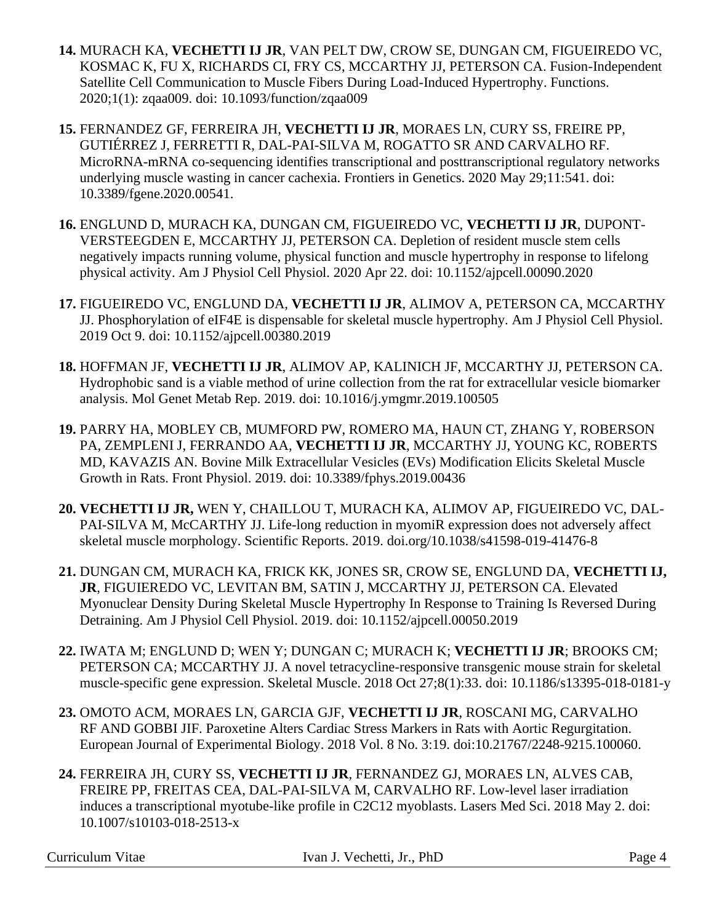- **14.** MURACH KA, **VECHETTI IJ JR**, VAN PELT DW, CROW SE, DUNGAN CM, FIGUEIREDO VC, KOSMAC K, FU X, RICHARDS CI, FRY CS, MCCARTHY JJ, PETERSON CA. Fusion-Independent Satellite Cell Communication to Muscle Fibers During Load-Induced Hypertrophy. Functions. 2020;1(1): zqaa009. doi: 10.1093/function/zqaa009
- **15.** FERNANDEZ GF, FERREIRA JH, **VECHETTI IJ JR**, MORAES LN, CURY SS, FREIRE PP, GUTIÉRREZ J, FERRETTI R, DAL-PAI-SILVA M, ROGATTO SR AND CARVALHO RF. MicroRNA-mRNA co-sequencing identifies transcriptional and posttranscriptional regulatory networks underlying muscle wasting in cancer cachexia. Frontiers in Genetics. 2020 May 29;11:541. doi: 10.3389/fgene.2020.00541.
- **16.** ENGLUND D, MURACH KA, DUNGAN CM, FIGUEIREDO VC, **VECHETTI IJ JR**, DUPONT-VERSTEEGDEN E, MCCARTHY JJ, PETERSON CA. Depletion of resident muscle stem cells negatively impacts running volume, physical function and muscle hypertrophy in response to lifelong physical activity. Am J Physiol Cell Physiol. 2020 Apr 22. doi: 10.1152/ajpcell.00090.2020
- **17.** FIGUEIREDO VC, ENGLUND DA, **VECHETTI IJ JR**, ALIMOV A, PETERSON CA, MCCARTHY JJ. Phosphorylation of eIF4E is dispensable for skeletal muscle hypertrophy. Am J Physiol Cell Physiol. 2019 Oct 9. doi: 10.1152/ajpcell.00380.2019
- **18.** HOFFMAN JF, **VECHETTI IJ JR**, ALIMOV AP, KALINICH JF, MCCARTHY JJ, PETERSON CA. Hydrophobic sand is a viable method of urine collection from the rat for extracellular vesicle biomarker analysis. Mol Genet Metab Rep. 2019. doi: 10.1016/j.ymgmr.2019.100505
- **19.** PARRY HA, MOBLEY CB, MUMFORD PW, ROMERO MA, HAUN CT, ZHANG Y, ROBERSON PA, ZEMPLENI J, FERRANDO AA, **VECHETTI IJ JR**, MCCARTHY JJ, YOUNG KC, ROBERTS MD, KAVAZIS AN. Bovine Milk Extracellular Vesicles (EVs) Modification Elicits Skeletal Muscle Growth in Rats. Front Physiol. 2019. doi: 10.3389/fphys.2019.00436
- **20. VECHETTI IJ JR,** WEN Y, CHAILLOU T, MURACH KA, ALIMOV AP, FIGUEIREDO VC, DAL-PAI-SILVA M, McCARTHY JJ. Life-long reduction in myomiR expression does not adversely affect skeletal muscle morphology. Scientific Reports. 2019. doi.org/10.1038/s41598-019-41476-8
- **21.** DUNGAN CM, MURACH KA, FRICK KK, JONES SR, CROW SE, ENGLUND DA, **VECHETTI IJ, JR**, FIGUIEREDO VC, LEVITAN BM, SATIN J, MCCARTHY JJ, PETERSON CA. Elevated Myonuclear Density During Skeletal Muscle Hypertrophy In Response to Training Is Reversed During Detraining. Am J Physiol Cell Physiol. 2019. doi: 10.1152/ajpcell.00050.2019
- **22.** IWATA M; ENGLUND D; WEN Y; DUNGAN C; MURACH K; **VECHETTI IJ JR**; BROOKS CM; PETERSON CA; MCCARTHY JJ. A novel tetracycline-responsive transgenic mouse strain for skeletal muscle-specific gene expression. Skeletal Muscle. 2018 Oct 27;8(1):33. doi: 10.1186/s13395-018-0181-y
- **23.** OMOTO ACM, MORAES LN, GARCIA GJF, **VECHETTI IJ JR**, ROSCANI MG, CARVALHO RF AND GOBBI JIF. Paroxetine Alters Cardiac Stress Markers in Rats with Aortic Regurgitation. European Journal of Experimental Biology. 2018 Vol. 8 No. 3:19. doi:10.21767/2248-9215.100060.
- **24.** FERREIRA JH, CURY SS, **VECHETTI IJ JR**, FERNANDEZ GJ, MORAES LN, ALVES CAB, FREIRE PP, FREITAS CEA, DAL-PAI-SILVA M, CARVALHO RF. Low-level laser irradiation induces a transcriptional myotube-like profile in C2C12 myoblasts. Lasers Med Sci. 2018 May 2. doi: 10.1007/s10103-018-2513-x

Ivan J. Vechetti, Jr., PhD Page 4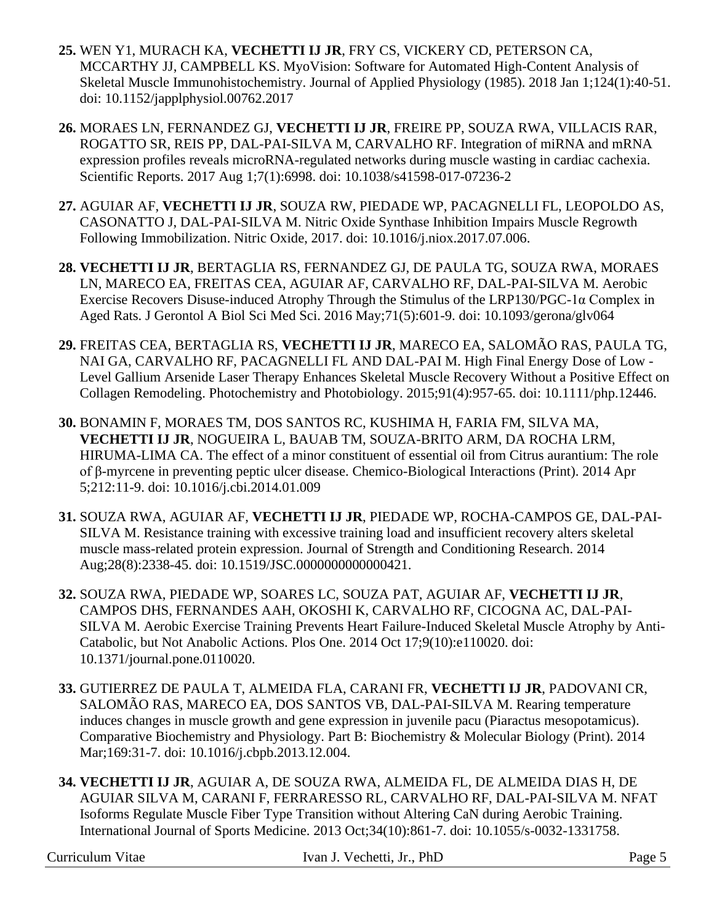- **25.** WEN Y1, MURACH KA, **VECHETTI IJ JR**, FRY CS, VICKERY CD, PETERSON CA, MCCARTHY JJ, CAMPBELL KS. MyoVision: Software for Automated High-Content Analysis of Skeletal Muscle Immunohistochemistry. Journal of Applied Physiology (1985). 2018 Jan 1;124(1):40-51. doi: 10.1152/japplphysiol.00762.2017
- **26.** MORAES LN, FERNANDEZ GJ, **VECHETTI IJ JR**, FREIRE PP, SOUZA RWA, VILLACIS RAR, ROGATTO SR, REIS PP, DAL-PAI-SILVA M, CARVALHO RF. Integration of miRNA and mRNA expression profiles reveals microRNA-regulated networks during muscle wasting in cardiac cachexia. Scientific Reports. 2017 Aug 1;7(1):6998. doi: 10.1038/s41598-017-07236-2
- **27.** AGUIAR AF, **VECHETTI IJ JR**, SOUZA RW, PIEDADE WP, PACAGNELLI FL, LEOPOLDO AS, CASONATTO J, DAL-PAI-SILVA M. Nitric Oxide Synthase Inhibition Impairs Muscle Regrowth Following Immobilization. Nitric Oxide, 2017. doi: 10.1016/j.niox.2017.07.006.
- **28. VECHETTI IJ JR**, BERTAGLIA RS, FERNANDEZ GJ, DE PAULA TG, SOUZA RWA, MORAES LN, MARECO EA, FREITAS CEA, AGUIAR AF, CARVALHO RF, DAL-PAI-SILVA M. Aerobic Exercise Recovers Disuse-induced Atrophy Through the Stimulus of the LRP130/PGC-1α Complex in Aged Rats. J Gerontol A Biol Sci Med Sci. 2016 May;71(5):601-9. doi: 10.1093/gerona/glv064
- **29.** FREITAS CEA, BERTAGLIA RS, **VECHETTI IJ JR**, MARECO EA, SALOMÃO RAS, PAULA TG, NAI GA, CARVALHO RF, PACAGNELLI FL AND DAL-PAI M. High Final Energy Dose of Low - Level Gallium Arsenide Laser Therapy Enhances Skeletal Muscle Recovery Without a Positive Effect on Collagen Remodeling. Photochemistry and Photobiology. 2015;91(4):957-65. doi: 10.1111/php.12446.
- **30.** BONAMIN F, MORAES TM, DOS SANTOS RC, KUSHIMA H, FARIA FM, SILVA MA, **VECHETTI IJ JR**, NOGUEIRA L, BAUAB TM, SOUZA-BRITO ARM, DA ROCHA LRM, HIRUMA-LIMA CA. The effect of a minor constituent of essential oil from Citrus aurantium: The role of β-myrcene in preventing peptic ulcer disease. Chemico-Biological Interactions (Print). 2014 Apr 5;212:11-9. doi: 10.1016/j.cbi.2014.01.009
- **31.** SOUZA RWA, AGUIAR AF, **VECHETTI IJ JR**, PIEDADE WP, ROCHA-CAMPOS GE, DAL-PAI-SILVA M. Resistance training with excessive training load and insufficient recovery alters skeletal muscle mass-related protein expression. Journal of Strength and Conditioning Research. 2014 Aug;28(8):2338-45. doi: 10.1519/JSC.0000000000000421.
- **32.** SOUZA RWA, PIEDADE WP, SOARES LC, SOUZA PAT, AGUIAR AF, **VECHETTI IJ JR**, CAMPOS DHS, FERNANDES AAH, OKOSHI K, CARVALHO RF, CICOGNA AC, DAL-PAI-SILVA M. Aerobic Exercise Training Prevents Heart Failure-Induced Skeletal Muscle Atrophy by Anti-Catabolic, but Not Anabolic Actions. Plos One. 2014 Oct 17;9(10):e110020. doi: 10.1371/journal.pone.0110020.
- **33.** GUTIERREZ DE PAULA T, ALMEIDA FLA, CARANI FR, **VECHETTI IJ JR**, PADOVANI CR, SALOMÃO RAS, MARECO EA, DOS SANTOS VB, DAL-PAI-SILVA M. Rearing temperature induces changes in muscle growth and gene expression in juvenile pacu (Piaractus mesopotamicus). Comparative Biochemistry and Physiology. Part B: Biochemistry & Molecular Biology (Print). 2014 Mar;169:31-7. doi: 10.1016/j.cbpb.2013.12.004.
- **34. VECHETTI IJ JR**, AGUIAR A, DE SOUZA RWA, ALMEIDA FL, DE ALMEIDA DIAS H, DE AGUIAR SILVA M, CARANI F, FERRARESSO RL, CARVALHO RF, DAL-PAI-SILVA M. NFAT Isoforms Regulate Muscle Fiber Type Transition without Altering CaN during Aerobic Training. International Journal of Sports Medicine. 2013 Oct;34(10):861-7. doi: 10.1055/s-0032-1331758.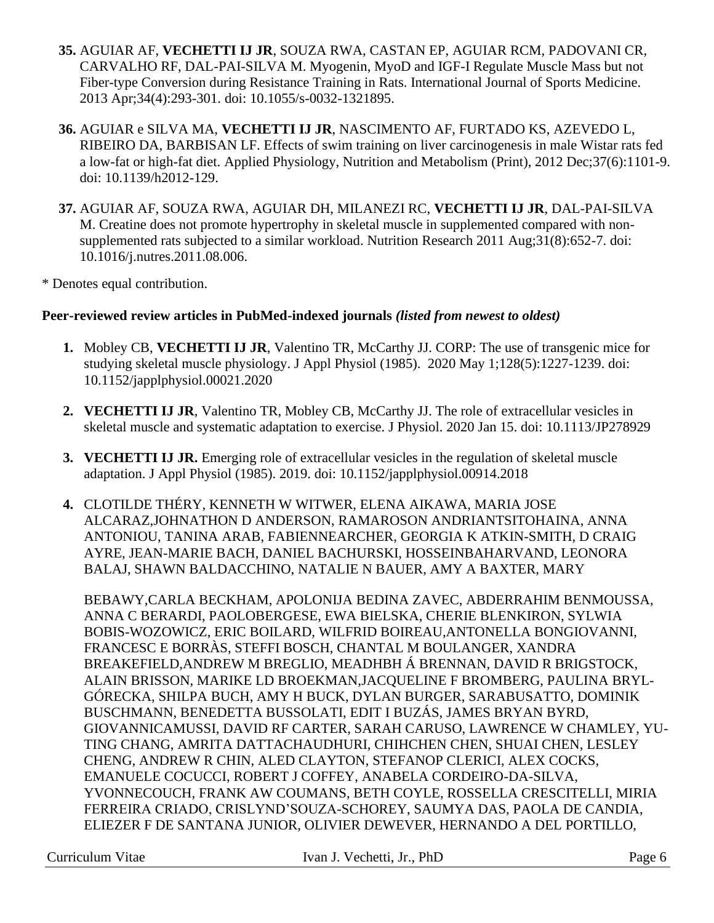- **35.** AGUIAR AF, **VECHETTI IJ JR**, SOUZA RWA, CASTAN EP, AGUIAR RCM, PADOVANI CR, CARVALHO RF, DAL-PAI-SILVA M. Myogenin, MyoD and IGF-I Regulate Muscle Mass but not Fiber-type Conversion during Resistance Training in Rats. International Journal of Sports Medicine. 2013 Apr;34(4):293-301. doi: 10.1055/s-0032-1321895.
- **36.** AGUIAR e SILVA MA, **VECHETTI IJ JR**, NASCIMENTO AF, FURTADO KS, AZEVEDO L, RIBEIRO DA, BARBISAN LF. Effects of swim training on liver carcinogenesis in male Wistar rats fed a low-fat or high-fat diet. Applied Physiology, Nutrition and Metabolism (Print), 2012 Dec;37(6):1101-9. doi: 10.1139/h2012-129.
- **37.** AGUIAR AF, SOUZA RWA, AGUIAR DH, MILANEZI RC, **VECHETTI IJ JR**, DAL-PAI-SILVA M. Creatine does not promote hypertrophy in skeletal muscle in supplemented compared with nonsupplemented rats subjected to a similar workload. Nutrition Research 2011 Aug;31(8):652-7. doi: 10.1016/j.nutres.2011.08.006.

\* Denotes equal contribution.

# **Peer-reviewed review articles in PubMed-indexed journals** *(listed from newest to oldest)*

- **1.** Mobley CB, **VECHETTI IJ JR**, Valentino TR, McCarthy JJ. CORP: The use of transgenic mice for studying skeletal muscle physiology. J Appl Physiol (1985). 2020 May 1;128(5):1227-1239. doi: 10.1152/japplphysiol.00021.2020
- **2. VECHETTI IJ JR**, Valentino TR, Mobley CB, McCarthy JJ. The role of extracellular vesicles in skeletal muscle and systematic adaptation to exercise. J Physiol. 2020 Jan 15. doi: 10.1113/JP278929
- **3. VECHETTI IJ JR.** Emerging role of extracellular vesicles in the regulation of skeletal muscle adaptation. J Appl Physiol (1985). 2019. doi: 10.1152/japplphysiol.00914.2018
- **4.** CLOTILDE THÉRY, KENNETH W WITWER, ELENA AIKAWA, MARIA JOSE ALCARAZ,JOHNATHON D ANDERSON, RAMAROSON ANDRIANTSITOHAINA, ANNA ANTONIOU, TANINA ARAB, FABIENNEARCHER, GEORGIA K ATKIN-SMITH, D CRAIG AYRE, JEAN-MARIE BACH, DANIEL BACHURSKI, HOSSEINBAHARVAND, LEONORA BALAJ, SHAWN BALDACCHINO, NATALIE N BAUER, AMY A BAXTER, MARY

BEBAWY,CARLA BECKHAM, APOLONIJA BEDINA ZAVEC, ABDERRAHIM BENMOUSSA, ANNA C BERARDI, PAOLOBERGESE, EWA BIELSKA, CHERIE BLENKIRON, SYLWIA BOBIS-WOZOWICZ, ERIC BOILARD, WILFRID BOIREAU,ANTONELLA BONGIOVANNI, FRANCESC E BORRÀS, STEFFI BOSCH, CHANTAL M BOULANGER, XANDRA BREAKEFIELD,ANDREW M BREGLIO, MEADHBH Á BRENNAN, DAVID R BRIGSTOCK, ALAIN BRISSON, MARIKE LD BROEKMAN,JACQUELINE F BROMBERG, PAULINA BRYL-GÓRECKA, SHILPA BUCH, AMY H BUCK, DYLAN BURGER, SARABUSATTO, DOMINIK BUSCHMANN, BENEDETTA BUSSOLATI, EDIT I BUZÁS, JAMES BRYAN BYRD, GIOVANNICAMUSSI, DAVID RF CARTER, SARAH CARUSO, LAWRENCE W CHAMLEY, YU-TING CHANG, AMRITA DATTACHAUDHURI, CHIHCHEN CHEN, SHUAI CHEN, LESLEY CHENG, ANDREW R CHIN, ALED CLAYTON, STEFANOP CLERICI, ALEX COCKS, EMANUELE COCUCCI, ROBERT J COFFEY, ANABELA CORDEIRO-DA-SILVA, YVONNECOUCH, FRANK AW COUMANS, BETH COYLE, ROSSELLA CRESCITELLI, MIRIA FERREIRA CRIADO, CRISLYND'SOUZA-SCHOREY, SAUMYA DAS, PAOLA DE CANDIA, ELIEZER F DE SANTANA JUNIOR, OLIVIER DEWEVER, HERNANDO A DEL PORTILLO,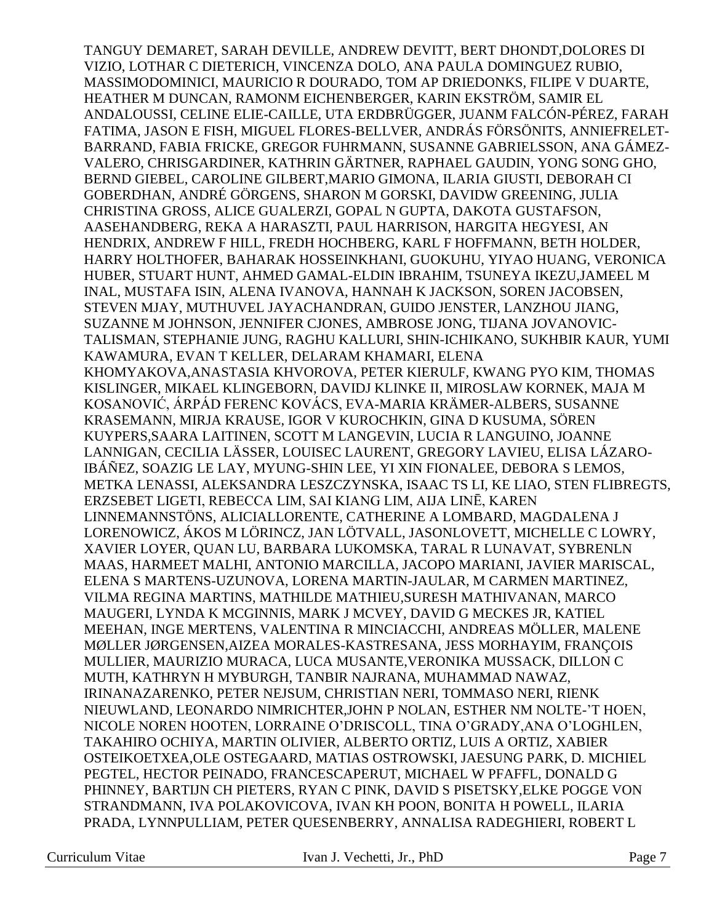TANGUY DEMARET, SARAH DEVILLE, ANDREW DEVITT, BERT DHONDT,DOLORES DI VIZIO, LOTHAR C DIETERICH, VINCENZA DOLO, ANA PAULA DOMINGUEZ RUBIO, MASSIMODOMINICI, MAURICIO R DOURADO, TOM AP DRIEDONKS, FILIPE V DUARTE, HEATHER M DUNCAN, RAMONM EICHENBERGER, KARIN EKSTRÖM, SAMIR EL ANDALOUSSI, CELINE ELIE-CAILLE, UTA ERDBRÜGGER, JUANM FALCÓN-PÉREZ, FARAH FATIMA, JASON E FISH, MIGUEL FLORES-BELLVER, ANDRÁS FÖRSÖNITS, ANNIEFRELET-BARRAND, FABIA FRICKE, GREGOR FUHRMANN, SUSANNE GABRIELSSON, ANA GÁMEZ-VALERO, CHRISGARDINER, KATHRIN GÄRTNER, RAPHAEL GAUDIN, YONG SONG GHO, BERND GIEBEL, CAROLINE GILBERT,MARIO GIMONA, ILARIA GIUSTI, DEBORAH CI GOBERDHAN, ANDRÉ GÖRGENS, SHARON M GORSKI, DAVIDW GREENING, JULIA CHRISTINA GROSS, ALICE GUALERZI, GOPAL N GUPTA, DAKOTA GUSTAFSON, AASEHANDBERG, REKA A HARASZTI, PAUL HARRISON, HARGITA HEGYESI, AN HENDRIX, ANDREW F HILL, FREDH HOCHBERG, KARL F HOFFMANN, BETH HOLDER, HARRY HOLTHOFER, BAHARAK HOSSEINKHANI, GUOKUHU, YIYAO HUANG, VERONICA HUBER, STUART HUNT, AHMED GAMAL-ELDIN IBRAHIM, TSUNEYA IKEZU,JAMEEL M INAL, MUSTAFA ISIN, ALENA IVANOVA, HANNAH K JACKSON, SOREN JACOBSEN, STEVEN MJAY, MUTHUVEL JAYACHANDRAN, GUIDO JENSTER, LANZHOU JIANG, SUZANNE M JOHNSON, JENNIFER CJONES, AMBROSE JONG, TIJANA JOVANOVIC-TALISMAN, STEPHANIE JUNG, RAGHU KALLURI, SHIN-ICHIKANO, SUKHBIR KAUR, YUMI KAWAMURA, EVAN T KELLER, DELARAM KHAMARI, ELENA KHOMYAKOVA,ANASTASIA KHVOROVA, PETER KIERULF, KWANG PYO KIM, THOMAS KISLINGER, MIKAEL KLINGEBORN, DAVIDJ KLINKE II, MIROSLAW KORNEK, MAJA M KOSANOVIĆ, ÁRPÁD FERENC KOVÁCS, EVA-MARIA KRÄMER-ALBERS, SUSANNE KRASEMANN, MIRJA KRAUSE, IGOR V KUROCHKIN, GINA D KUSUMA, SÖREN KUYPERS,SAARA LAITINEN, SCOTT M LANGEVIN, LUCIA R LANGUINO, JOANNE LANNIGAN, CECILIA LÄSSER, LOUISEC LAURENT, GREGORY LAVIEU, ELISA LÁZARO-IBÁÑEZ, SOAZIG LE LAY, MYUNG-SHIN LEE, YI XIN FIONALEE, DEBORA S LEMOS, METKA LENASSI, ALEKSANDRA LESZCZYNSKA, ISAAC TS LI, KE LIAO, STEN FLIBREGTS, ERZSEBET LIGETI, REBECCA LIM, SAI KIANG LIM, AIJA LINĒ, KAREN LINNEMANNSTÖNS, ALICIALLORENTE, CATHERINE A LOMBARD, MAGDALENA J LORENOWICZ, ÁKOS M LÖRINCZ, JAN LÖTVALL, JASONLOVETT, MICHELLE C LOWRY, XAVIER LOYER, QUAN LU, BARBARA LUKOMSKA, TARAL R LUNAVAT, SYBRENLN MAAS, HARMEET MALHI, ANTONIO MARCILLA, JACOPO MARIANI, JAVIER MARISCAL, ELENA S MARTENS-UZUNOVA, LORENA MARTIN-JAULAR, M CARMEN MARTINEZ, VILMA REGINA MARTINS, MATHILDE MATHIEU,SURESH MATHIVANAN, MARCO MAUGERI, LYNDA K MCGINNIS, MARK J MCVEY, DAVID G MECKES JR, KATIEL MEEHAN, INGE MERTENS, VALENTINA R MINCIACCHI, ANDREAS MÖLLER, MALENE MØLLER JØRGENSEN,AIZEA MORALES-KASTRESANA, JESS MORHAYIM, FRANÇOIS MULLIER, MAURIZIO MURACA, LUCA MUSANTE,VERONIKA MUSSACK, DILLON C MUTH, KATHRYN H MYBURGH, TANBIR NAJRANA, MUHAMMAD NAWAZ, IRINANAZARENKO, PETER NEJSUM, CHRISTIAN NERI, TOMMASO NERI, RIENK NIEUWLAND, LEONARDO NIMRICHTER,JOHN P NOLAN, ESTHER NM NOLTE-'T HOEN, NICOLE NOREN HOOTEN, LORRAINE O'DRISCOLL, TINA O'GRADY,ANA O'LOGHLEN, TAKAHIRO OCHIYA, MARTIN OLIVIER, ALBERTO ORTIZ, LUIS A ORTIZ, XABIER OSTEIKOETXEA,OLE OSTEGAARD, MATIAS OSTROWSKI, JAESUNG PARK, D. MICHIEL PEGTEL, HECTOR PEINADO, FRANCESCAPERUT, MICHAEL W PFAFFL, DONALD G PHINNEY, BARTIJN CH PIETERS, RYAN C PINK, DAVID S PISETSKY,ELKE POGGE VON STRANDMANN, IVA POLAKOVICOVA, IVAN KH POON, BONITA H POWELL, ILARIA PRADA, LYNNPULLIAM, PETER QUESENBERRY, ANNALISA RADEGHIERI, ROBERT L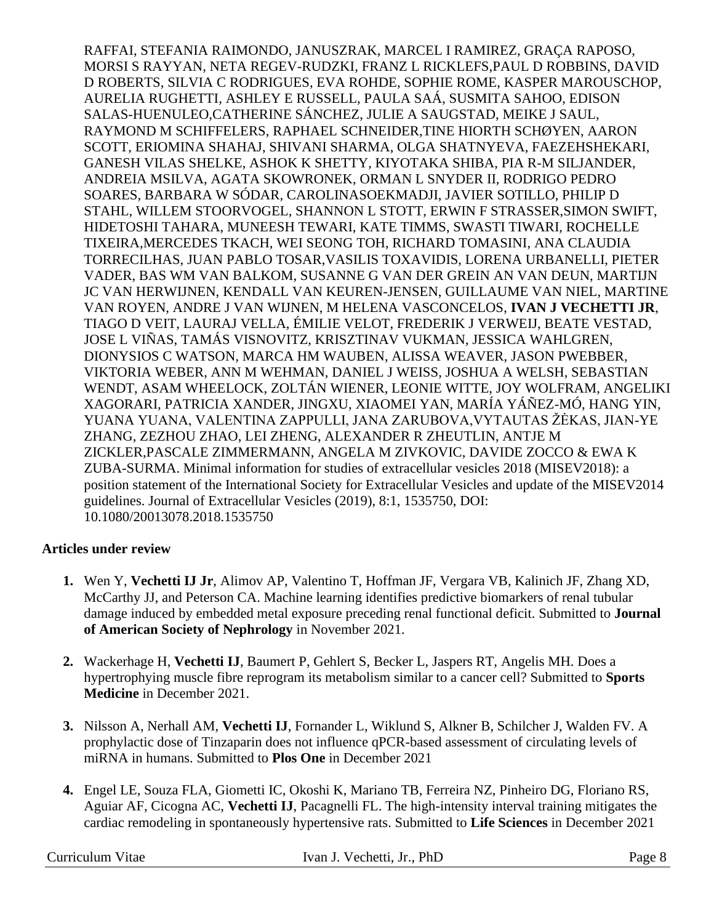RAFFAI, STEFANIA RAIMONDO, JANUSZRAK, MARCEL I RAMIREZ, GRAÇA RAPOSO, MORSI S RAYYAN, NETA REGEV-RUDZKI, FRANZ L RICKLEFS,PAUL D ROBBINS, DAVID D ROBERTS, SILVIA C RODRIGUES, EVA ROHDE, SOPHIE ROME, KASPER MAROUSCHOP, AURELIA RUGHETTI, ASHLEY E RUSSELL, PAULA SAÁ, SUSMITA SAHOO, EDISON SALAS-HUENULEO,CATHERINE SÁNCHEZ, JULIE A SAUGSTAD, MEIKE J SAUL, RAYMOND M SCHIFFELERS, RAPHAEL SCHNEIDER,TINE HIORTH SCHØYEN, AARON SCOTT, ERIOMINA SHAHAJ, SHIVANI SHARMA, OLGA SHATNYEVA, FAEZEHSHEKARI, GANESH VILAS SHELKE, ASHOK K SHETTY, KIYOTAKA SHIBA, PIA R-M SILJANDER, ANDREIA MSILVA, AGATA SKOWRONEK, ORMAN L SNYDER II, RODRIGO PEDRO SOARES, BARBARA W SÓDAR, CAROLINASOEKMADJI, JAVIER SOTILLO, PHILIP D STAHL, WILLEM STOORVOGEL, SHANNON L STOTT, ERWIN F STRASSER,SIMON SWIFT, HIDETOSHI TAHARA, MUNEESH TEWARI, KATE TIMMS, SWASTI TIWARI, ROCHELLE TIXEIRA,MERCEDES TKACH, WEI SEONG TOH, RICHARD TOMASINI, ANA CLAUDIA TORRECILHAS, JUAN PABLO TOSAR,VASILIS TOXAVIDIS, LORENA URBANELLI, PIETER VADER, BAS WM VAN BALKOM, SUSANNE G VAN DER GREIN AN VAN DEUN, MARTIJN JC VAN HERWIJNEN, KENDALL VAN KEUREN-JENSEN, GUILLAUME VAN NIEL, MARTINE VAN ROYEN, ANDRE J VAN WIJNEN, M HELENA VASCONCELOS, **IVAN J VECHETTI JR**, TIAGO D VEIT, LAURAJ VELLA, ÉMILIE VELOT, FREDERIK J VERWEIJ, BEATE VESTAD, JOSE L VIÑAS, TAMÁS VISNOVITZ, KRISZTINAV VUKMAN, JESSICA WAHLGREN, DIONYSIOS C WATSON, MARCA HM WAUBEN, ALISSA WEAVER, JASON PWEBBER, VIKTORIA WEBER, ANN M WEHMAN, DANIEL J WEISS, JOSHUA A WELSH, SEBASTIAN WENDT, ASAM WHEELOCK, ZOLTÁN WIENER, LEONIE WITTE, JOY WOLFRAM, ANGELIKI XAGORARI, PATRICIA XANDER, JINGXU, XIAOMEI YAN, MARÍA YÁÑEZ-MÓ, HANG YIN, YUANA YUANA, VALENTINA ZAPPULLI, JANA ZARUBOVA,VYTAUTAS ŽĖKAS, JIAN-YE ZHANG, ZEZHOU ZHAO, LEI ZHENG, ALEXANDER R ZHEUTLIN, ANTJE M ZICKLER,PASCALE ZIMMERMANN, ANGELA M ZIVKOVIC, DAVIDE ZOCCO & EWA K ZUBA-SURMA. Minimal information for studies of extracellular vesicles 2018 (MISEV2018): a position statement of the International Society for Extracellular Vesicles and update of the MISEV2014 guidelines. Journal of Extracellular Vesicles (2019), 8:1, 1535750, DOI: 10.1080/20013078.2018.1535750

# **Articles under review**

- **1.** Wen Y, **Vechetti IJ Jr**, Alimov AP, Valentino T, Hoffman JF, Vergara VB, Kalinich JF, Zhang XD, McCarthy JJ, and Peterson CA. Machine learning identifies predictive biomarkers of renal tubular damage induced by embedded metal exposure preceding renal functional deficit. Submitted to **Journal of American Society of Nephrology** in November 2021.
- **2.** Wackerhage H, **Vechetti IJ**, Baumert P, Gehlert S, Becker L, Jaspers RT, Angelis MH. Does a hypertrophying muscle fibre reprogram its metabolism similar to a cancer cell? Submitted to **Sports Medicine** in December 2021.
- **3.** Nilsson A, Nerhall AM, **Vechetti IJ**, Fornander L, Wiklund S, Alkner B, Schilcher J, Walden FV. A prophylactic dose of Tinzaparin does not influence qPCR-based assessment of circulating levels of miRNA in humans. Submitted to **Plos One** in December 2021
- **4.** Engel LE, Souza FLA, Giometti IC, Okoshi K, Mariano TB, Ferreira NZ, Pinheiro DG, Floriano RS, Aguiar AF, Cicogna AC, **Vechetti IJ**, Pacagnelli FL. The high-intensity interval training mitigates the cardiac remodeling in spontaneously hypertensive rats. Submitted to **Life Sciences** in December 2021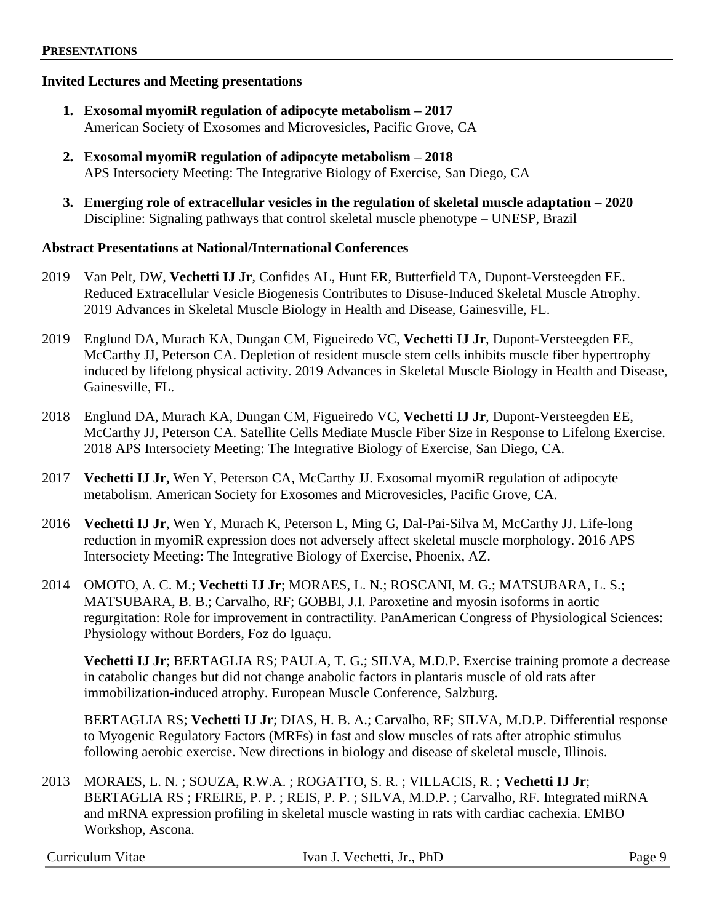#### **Invited Lectures and Meeting presentations**

- **1. Exosomal myomiR regulation of adipocyte metabolism – 2017** American Society of Exosomes and Microvesicles, Pacific Grove, CA
- **2. Exosomal myomiR regulation of adipocyte metabolism – 2018** APS Intersociety Meeting: The Integrative Biology of Exercise, San Diego, CA
- **3. Emerging role of extracellular vesicles in the regulation of skeletal muscle adaptation – 2020** Discipline: Signaling pathways that control skeletal muscle phenotype – UNESP, Brazil

#### **Abstract Presentations at National/International Conferences**

- 2019 Van Pelt, DW, **Vechetti IJ Jr**, Confides AL, Hunt ER, Butterfield TA, Dupont-Versteegden EE. Reduced Extracellular Vesicle Biogenesis Contributes to Disuse-Induced Skeletal Muscle Atrophy. 2019 Advances in Skeletal Muscle Biology in Health and Disease, Gainesville, FL.
- 2019 Englund DA, Murach KA, Dungan CM, Figueiredo VC, **Vechetti IJ Jr**, Dupont-Versteegden EE, McCarthy JJ, Peterson CA. Depletion of resident muscle stem cells inhibits muscle fiber hypertrophy induced by lifelong physical activity. 2019 Advances in Skeletal Muscle Biology in Health and Disease, Gainesville, FL.
- 2018 Englund DA, Murach KA, Dungan CM, Figueiredo VC, **Vechetti IJ Jr**, Dupont-Versteegden EE, McCarthy JJ, Peterson CA. Satellite Cells Mediate Muscle Fiber Size in Response to Lifelong Exercise. 2018 APS Intersociety Meeting: The Integrative Biology of Exercise, San Diego, CA.
- 2017 **Vechetti IJ Jr,** Wen Y, Peterson CA, McCarthy JJ. Exosomal myomiR regulation of adipocyte metabolism. American Society for Exosomes and Microvesicles, Pacific Grove, CA.
- 2016 **Vechetti IJ Jr**, Wen Y, Murach K, Peterson L, Ming G, Dal-Pai-Silva M, McCarthy JJ. Life-long reduction in myomiR expression does not adversely affect skeletal muscle morphology. 2016 APS Intersociety Meeting: The Integrative Biology of Exercise, Phoenix, AZ.
- 2014 OMOTO, A. C. M.; **Vechetti IJ Jr**; MORAES, L. N.; ROSCANI, M. G.; MATSUBARA, L. S.; MATSUBARA, B. B.; Carvalho, RF; GOBBI, J.I. Paroxetine and myosin isoforms in aortic regurgitation: Role for improvement in contractility. PanAmerican Congress of Physiological Sciences: Physiology without Borders, Foz do Iguaçu.

**Vechetti IJ Jr**; BERTAGLIA RS; PAULA, T. G.; SILVA, M.D.P. Exercise training promote a decrease in catabolic changes but did not change anabolic factors in plantaris muscle of old rats after immobilization-induced atrophy. European Muscle Conference, Salzburg.

BERTAGLIA RS; **Vechetti IJ Jr**; DIAS, H. B. A.; Carvalho, RF; SILVA, M.D.P. Differential response to Myogenic Regulatory Factors (MRFs) in fast and slow muscles of rats after atrophic stimulus following aerobic exercise. New directions in biology and disease of skeletal muscle, Illinois.

2013 MORAES, L. N. ; SOUZA, R.W.A. ; ROGATTO, S. R. ; VILLACIS, R. ; **Vechetti IJ Jr**; BERTAGLIA RS ; FREIRE, P. P. ; REIS, P. P. ; SILVA, M.D.P. ; Carvalho, RF. Integrated miRNA and mRNA expression profiling in skeletal muscle wasting in rats with cardiac cachexia. EMBO Workshop, Ascona.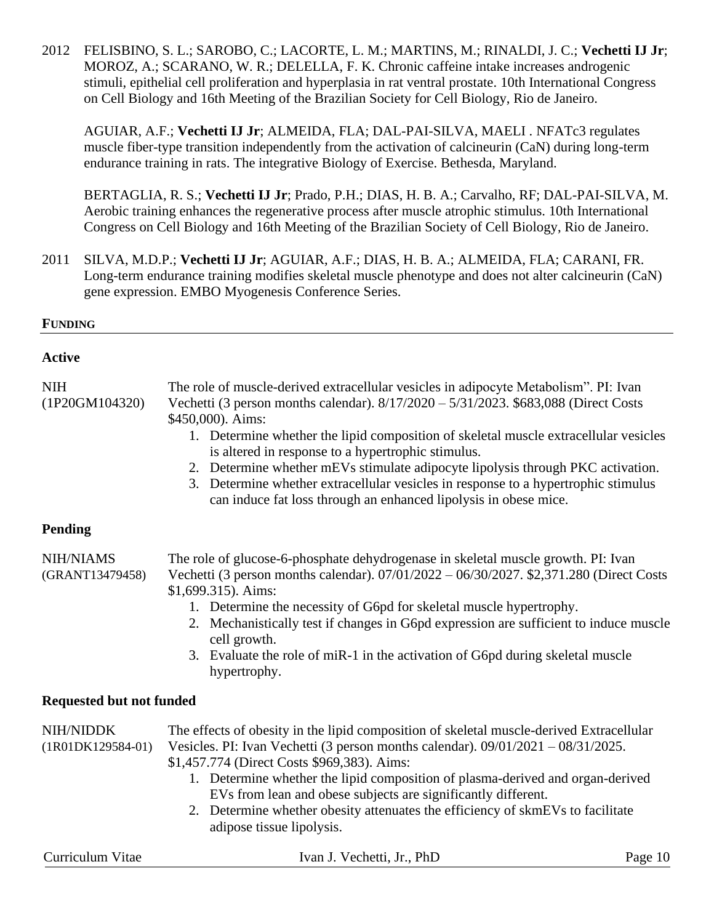2012 FELISBINO, S. L.; SAROBO, C.; LACORTE, L. M.; MARTINS, M.; RINALDI, J. C.; **Vechetti IJ Jr**; MOROZ, A.; SCARANO, W. R.; DELELLA, F. K. Chronic caffeine intake increases androgenic stimuli, epithelial cell proliferation and hyperplasia in rat ventral prostate. 10th International Congress on Cell Biology and 16th Meeting of the Brazilian Society for Cell Biology, Rio de Janeiro.

AGUIAR, A.F.; **Vechetti IJ Jr**; ALMEIDA, FLA; DAL-PAI-SILVA, MAELI . NFATc3 regulates muscle fiber-type transition independently from the activation of calcineurin (CaN) during long-term endurance training in rats. The integrative Biology of Exercise. Bethesda, Maryland.

BERTAGLIA, R. S.; **Vechetti IJ Jr**; Prado, P.H.; DIAS, H. B. A.; Carvalho, RF; DAL-PAI-SILVA, M. Aerobic training enhances the regenerative process after muscle atrophic stimulus. 10th International Congress on Cell Biology and 16th Meeting of the Brazilian Society of Cell Biology, Rio de Janeiro.

2011 SILVA, M.D.P.; **Vechetti IJ Jr**; AGUIAR, A.F.; DIAS, H. B. A.; ALMEIDA, FLA; CARANI, FR. Long-term endurance training modifies skeletal muscle phenotype and does not alter calcineurin (CaN) gene expression. EMBO Myogenesis Conference Series.

## **FUNDING**

## **Active**

NIH The role of muscle-derived extracellular vesicles in adipocyte Metabolism". PI: Ivan (1P20GM104320) Vechetti (3 person months calendar). 8/17/2020 – 5/31/2023. \$683,088 (Direct Costs \$450,000). Aims:

- 1. Determine whether the lipid composition of skeletal muscle extracellular vesicles is altered in response to a hypertrophic stimulus.
- 2. Determine whether mEVs stimulate adipocyte lipolysis through PKC activation.
- 3. Determine whether extracellular vesicles in response to a hypertrophic stimulus can induce fat loss through an enhanced lipolysis in obese mice.

# **Pending**

NIH/NIAMS The role of glucose-6-phosphate dehydrogenase in skeletal muscle growth. PI: Ivan (GRANT13479458) Vechetti (3 person months calendar). 07/01/2022 – 06/30/2027. \$2,371.280 (Direct Costs \$1,699.315). Aims:

- 1. Determine the necessity of G6pd for skeletal muscle hypertrophy.
- 2. Mechanistically test if changes in G6pd expression are sufficient to induce muscle cell growth.
- 3. Evaluate the role of miR-1 in the activation of G6pd during skeletal muscle hypertrophy.

# **Requested but not funded**

| NIH/NIDDK           | The effects of obesity in the lipid composition of skeletal muscle-derived Extracellular |
|---------------------|------------------------------------------------------------------------------------------|
| $(1R01DK129584-01)$ | Vesicles. PI: Ivan Vechetti (3 person months calendar). $09/01/2021 - 08/31/2025$ .      |
|                     | \$1,457.774 (Direct Costs \$969,383). Aims:                                              |
|                     | 1. Determine whether the lipid composition of plasma-derived and organ-derived           |
|                     | EVs from lean and obese subjects are significantly different.                            |

2. Determine whether obesity attenuates the efficiency of skmEVs to facilitate adipose tissue lipolysis.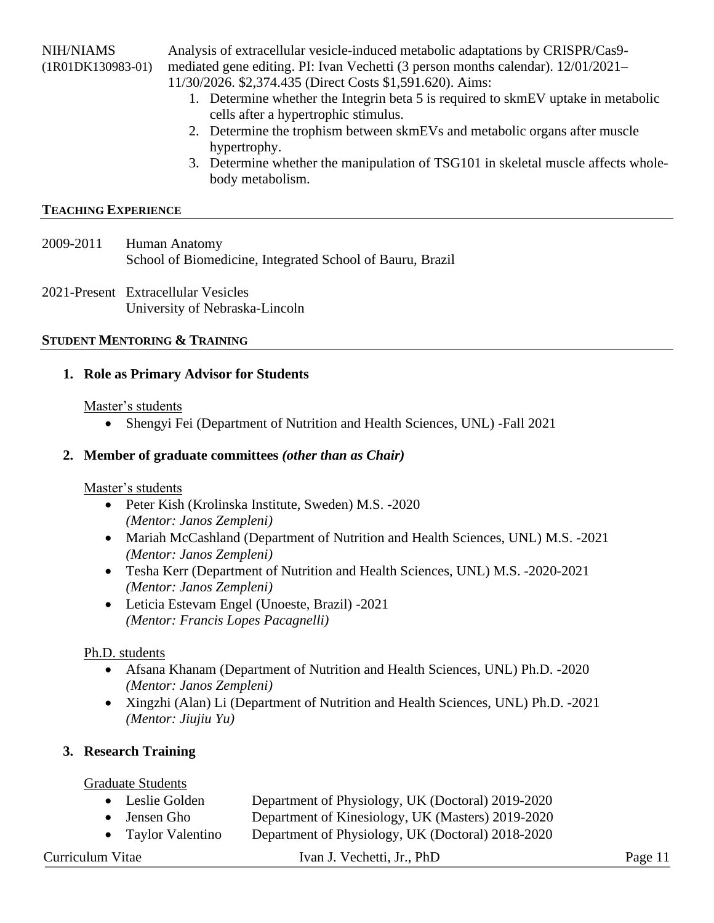NIH/NIAMS Analysis of extracellular vesicle-induced metabolic adaptations by CRISPR/Cas9-

(1R01DK130983-01) mediated gene editing. PI: Ivan Vechetti (3 person months calendar). 12/01/2021–

11/30/2026. \$2,374.435 (Direct Costs \$1,591.620). Aims:

- 1. Determine whether the Integrin beta 5 is required to skmEV uptake in metabolic cells after a hypertrophic stimulus.
- 2. Determine the trophism between skmEVs and metabolic organs after muscle hypertrophy.
- 3. Determine whether the manipulation of TSG101 in skeletal muscle affects wholebody metabolism.

# **TEACHING EXPERIENCE**

- 2009-2011 Human Anatomy School of Biomedicine, Integrated School of Bauru, Brazil
- 2021-Present Extracellular Vesicles University of Nebraska-Lincoln

# **STUDENT MENTORING & TRAINING**

# **1. Role as Primary Advisor for Students**

# Master's students

• Shengyi Fei (Department of Nutrition and Health Sciences, UNL) - Fall 2021

# **2. Member of graduate committees** *(other than as Chair)*

# Master's students

- Peter Kish (Krolinska Institute, Sweden) M.S. -2020 *(Mentor: Janos Zempleni)*
- Mariah McCashland (Department of Nutrition and Health Sciences, UNL) M.S. -2021 *(Mentor: Janos Zempleni)*
- Tesha Kerr (Department of Nutrition and Health Sciences, UNL) M.S. -2020-2021 *(Mentor: Janos Zempleni)*
- Leticia Estevam Engel (Unoeste, Brazil) -2021 *(Mentor: Francis Lopes Pacagnelli)*

# Ph.D. students

- Afsana Khanam (Department of Nutrition and Health Sciences, UNL) Ph.D. -2020 *(Mentor: Janos Zempleni)*
- Xingzhi (Alan) Li (Department of Nutrition and Health Sciences, UNL) Ph.D. -2021 *(Mentor: Jiujiu Yu)*

# **3. Research Training**

# Graduate Students

| • Leslie Golden      | Department of Physiology, UK (Doctoral) 2019-2020 |
|----------------------|---------------------------------------------------|
| $\bullet$ Jensen Gho | Department of Kinesiology, UK (Masters) 2019-2020 |
| • Taylor Valentino   | Department of Physiology, UK (Doctoral) 2018-2020 |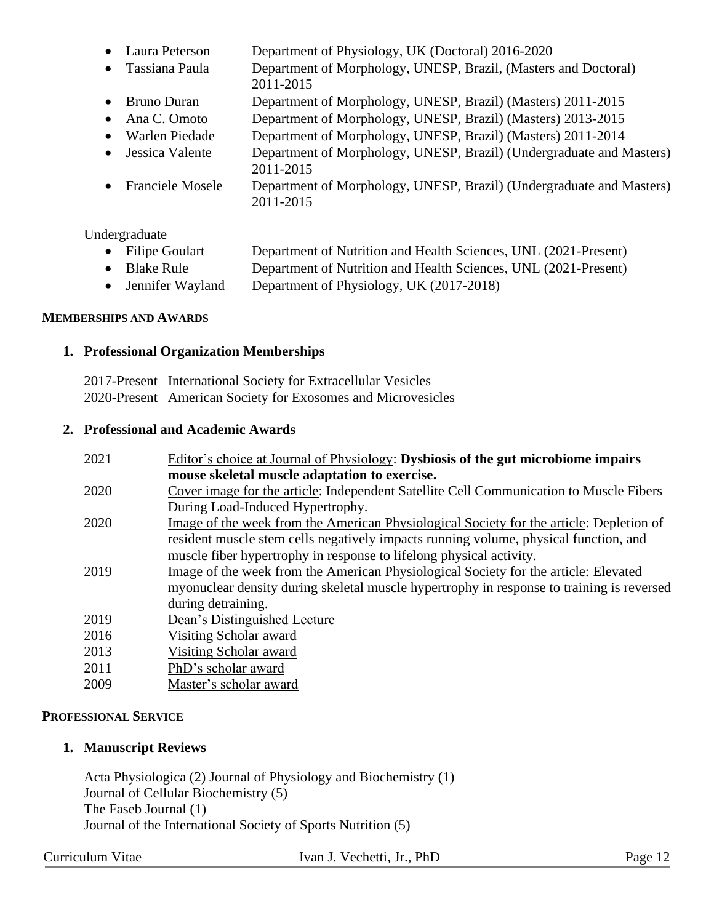- Laura Peterson Department of Physiology, UK (Doctoral) 2016-2020
- Tassiana Paula Department of Morphology, UNESP, Brazil, (Masters and Doctoral) 2011-2015
- Bruno Duran Department of Morphology, UNESP, Brazil) (Masters) 2011-2015
- Ana C. Omoto Department of Morphology, UNESP, Brazil) (Masters) 2013-2015
- Warlen Piedade Department of Morphology, UNESP, Brazil) (Masters) 2011-2014
- Jessica Valente Department of Morphology, UNESP, Brazil) (Undergraduate and Masters)
- 2011-2015 • Franciele Mosele Department of Morphology, UNESP, Brazil) (Undergraduate and Masters)

#### Undergraduate

| • Filipe Goulart | Department of Nutrition and Health Sciences, UNL (2021-Present)                                                                                                                                                                                                                                                                    |
|------------------|------------------------------------------------------------------------------------------------------------------------------------------------------------------------------------------------------------------------------------------------------------------------------------------------------------------------------------|
| • Blake Rule     | Department of Nutrition and Health Sciences, UNL (2021-Present)                                                                                                                                                                                                                                                                    |
|                  | $\mathbf{r}$ $\mathbf{r}$ $\mathbf{r}$ $\mathbf{r}$ $\mathbf{r}$ $\mathbf{r}$ $\mathbf{r}$ $\mathbf{r}$ $\mathbf{r}$ $\mathbf{r}$ $\mathbf{r}$ $\mathbf{r}$ $\mathbf{r}$ $\mathbf{r}$ $\mathbf{r}$ $\mathbf{r}$ $\mathbf{r}$ $\mathbf{r}$ $\mathbf{r}$ $\mathbf{r}$ $\mathbf{r}$ $\mathbf{r}$ $\mathbf{r}$ $\mathbf{r}$ $\mathbf{$ |

• Jennifer Wayland Department of Physiology, UK (2017-2018)

#### **MEMBERSHIPS AND AWARDS**

## **1. Professional Organization Memberships**

2017-Present International Society for Extracellular Vesicles 2020-Present American Society for Exosomes and Microvesicles

2011-2015

## **2. Professional and Academic Awards**

| 2021 | Editor's choice at Journal of Physiology: Dysbiosis of the gut microbiome impairs         |
|------|-------------------------------------------------------------------------------------------|
|      | mouse skeletal muscle adaptation to exercise.                                             |
| 2020 | Cover image for the article: Independent Satellite Cell Communication to Muscle Fibers    |
|      | During Load-Induced Hypertrophy.                                                          |
| 2020 | Image of the week from the American Physiological Society for the article: Depletion of   |
|      | resident muscle stem cells negatively impacts running volume, physical function, and      |
|      | muscle fiber hypertrophy in response to lifelong physical activity.                       |
| 2019 | Image of the week from the American Physiological Society for the article: Elevated       |
|      | myonuclear density during skeletal muscle hypertrophy in response to training is reversed |
|      | during detraining.                                                                        |
| 2019 | Dean's Distinguished Lecture                                                              |
| 2016 | Visiting Scholar award                                                                    |
| 2013 | Visiting Scholar award                                                                    |
| 2011 | PhD's scholar award                                                                       |
| 2009 | Master's scholar award                                                                    |
|      |                                                                                           |

#### **PROFESSIONAL SERVICE**

#### **1. Manuscript Reviews**

Acta Physiologica (2) Journal of Physiology and Biochemistry (1) Journal of Cellular Biochemistry (5) The Faseb Journal (1) Journal of the International Society of Sports Nutrition (5)